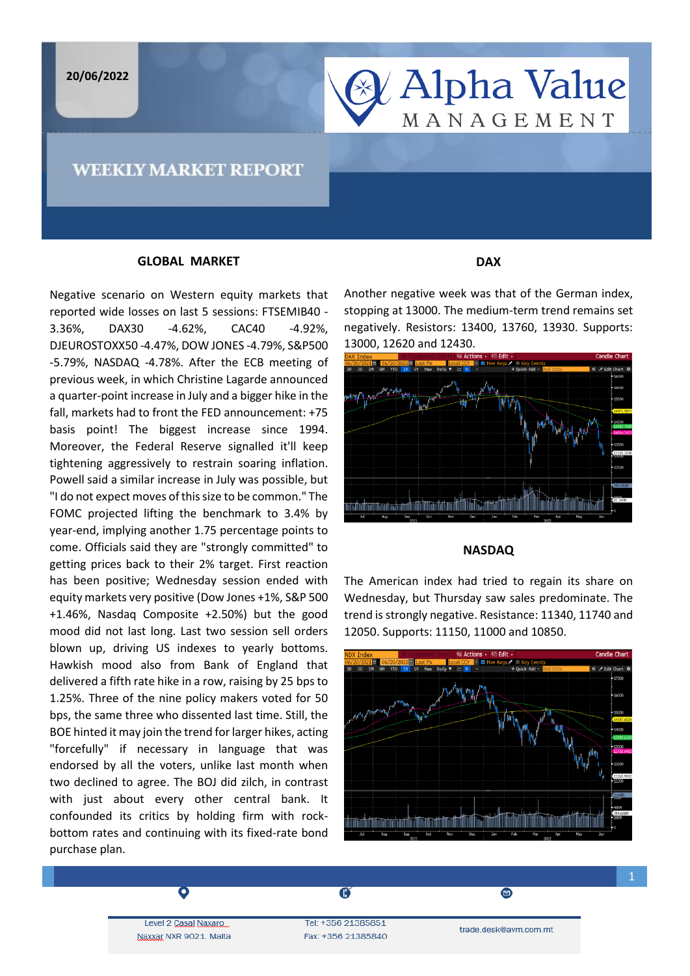**20/06/2022**

# **& Alpha Value** MANAGEMENT

## **WEEKLY MARKET REPORT**

### **GLOBAL MARKET**

Negative scenario on Western equity markets that reported wide losses on last 5 sessions: FTSEMIB40 - 3.36%, DAX30 -4.62%, CAC40 -4.92%, DJEUROSTOXX50 -4.47%, DOW JONES -4.79%, S&P500 -5.79%, NASDAQ -4.78%. After the ECB meeting of previous week, in which Christine Lagarde announced a quarter-point increase in July and a bigger hike in the fall, markets had to front the FED announcement: +75 basis point! The biggest increase since 1994. Moreover, the Federal Reserve signalled it'll keep tightening aggressively to restrain soaring inflation. Powell said a similar increase in July was possible, but "I do not expect moves of this size to be common." The FOMC projected lifting the benchmark to 3.4% by year-end, implying another 1.75 percentage points to come. Officials said they are "strongly committed" to getting prices back to their 2% target. First reaction has been positive; Wednesday session ended with equity markets very positive (Dow Jones +1%, S&P 500 +1.46%, Nasdaq Composite +2.50%) but the good mood did not last long. Last two session sell orders blown up, driving US indexes to yearly bottoms. Hawkish mood also from Bank of England that delivered a fifth rate hike in a row, raising by 25 bps to 1.25%. Three of the nine policy makers voted for 50 bps, the same three who dissented last time. Still, the BOE hinted it may join the trend for larger hikes, acting "forcefully" if necessary in language that was endorsed by all the voters, unlike last month when two declined to agree. The BOJ did zilch, in contrast with just about every other central bank. It confounded its critics by holding firm with rockbottom rates and continuing with its fixed-rate bond purchase plan.

### **DAX**

Another negative week was that of the German index, stopping at 13000. The medium-term trend remains set negatively. Resistors: 13400, 13760, 13930. Supports: 13000, 12620 and 12430.



#### **NASDAQ**

The American index had tried to regain its share on Wednesday, but Thursday saw sales predominate. The trend is strongly negative. Resistance: 11340, 11740 and 12050. Supports: 11150, 11000 and 10850.



Level 2 Casal Naxaro Naxxar NXR 9021. Malta

Tel: +356 21385851 Fax: +356 21385840

 $\overline{\mathbf{G}}$ 

trade.desk@avm.com.mt

◙

 $\begin{array}{c} \hline \end{array}$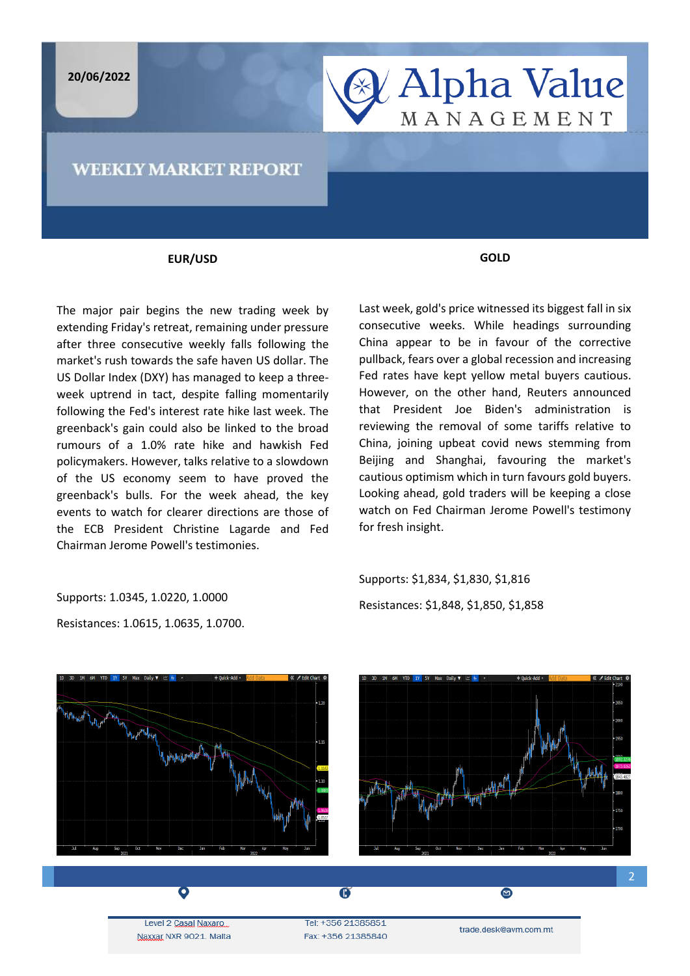**20/06/2022**

## **& Alpha Value** MANAGEMENT

### **WEEKLY MARKET REPORT**

### **EUR/USD**

The major pair begins the new trading week by extending Friday's retreat, remaining under pressure after three consecutive weekly falls following the market's rush towards the safe haven US dollar. The US Dollar Index (DXY) has managed to keep a threeweek uptrend in tact, despite falling momentarily following the Fed's interest rate hike last week. The greenback's gain could also be linked to the broad rumours of a 1.0% rate hike and hawkish Fed policymakers. However, talks relative to a slowdown of the US economy seem to have proved the greenback's bulls. For the week ahead, the key events to watch for clearer directions are those of the ECB President Christine Lagarde and Fed Chairman Jerome Powell's testimonies.

Supports: 1.0345, 1.0220, 1.0000

Resistances: 1.0615, 1.0635, 1.0700.

**GOLD**

Last week, gold's price witnessed its biggest fall in six consecutive weeks. While headings surrounding China appear to be in favour of the corrective pullback, fears over a global recession and increasing Fed rates have kept yellow metal buyers cautious. However, on the other hand, Reuters announced that President Joe Biden's administration is reviewing the removal of some tariffs relative to China, joining upbeat covid news stemming from Beijing and Shanghai, favouring the market's cautious optimism which in turn favours gold buyers. Looking ahead, gold traders will be keeping a close watch on Fed Chairman Jerome Powell's testimony for fresh insight.

Supports: \$1,834, \$1,830, \$1,816 Resistances: \$1,848, \$1,850, \$1,858